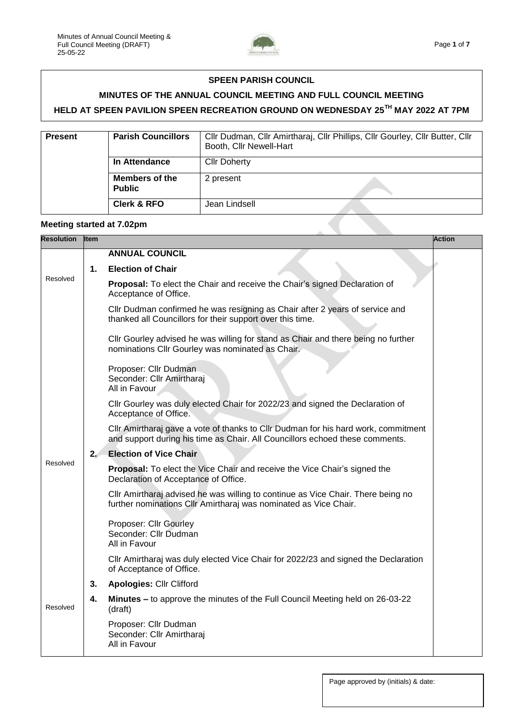

## **SPEEN PARISH COUNCIL**

## **MINUTES OF THE ANNUAL COUNCIL MEETING AND FULL COUNCIL MEETING**

## **HELD AT SPEEN PAVILION SPEEN RECREATION GROUND ON WEDNESDAY 25TH MAY 2022 AT 7PM**

| <b>Present</b> | <b>Parish Councillors</b>              | Cllr Dudman, Cllr Amirtharaj, Cllr Phillips, Cllr Gourley, Cllr Butter, Cllr<br>Booth, Cllr Newell-Hart |
|----------------|----------------------------------------|---------------------------------------------------------------------------------------------------------|
|                | In Attendance                          | <b>Cllr Doherty</b>                                                                                     |
|                | <b>Members of the</b><br><b>Public</b> | 2 present                                                                                               |
|                | <b>Clerk &amp; RFO</b>                 | Jean Lindsell                                                                                           |

## **Meeting started at 7.02pm**

| <b>Resolution</b> | <b>Item</b> |                                                                                                                                                                    | <b>Action</b> |
|-------------------|-------------|--------------------------------------------------------------------------------------------------------------------------------------------------------------------|---------------|
|                   |             | <b>ANNUAL COUNCIL</b>                                                                                                                                              |               |
| Resolved          | 1.          | <b>Election of Chair</b>                                                                                                                                           |               |
|                   |             | Proposal: To elect the Chair and receive the Chair's signed Declaration of<br>Acceptance of Office.                                                                |               |
|                   |             | Cllr Dudman confirmed he was resigning as Chair after 2 years of service and<br>thanked all Councillors for their support over this time.                          |               |
|                   |             | Cllr Gourley advised he was willing for stand as Chair and there being no further<br>nominations Cllr Gourley was nominated as Chair.                              |               |
|                   |             | Proposer: Cllr Dudman<br>Seconder: Cllr Amirtharaj<br>All in Favour                                                                                                |               |
|                   |             | Cllr Gourley was duly elected Chair for 2022/23 and signed the Declaration of<br>Acceptance of Office.                                                             |               |
|                   |             | Cllr Amirtharaj gave a vote of thanks to Cllr Dudman for his hard work, commitment<br>and support during his time as Chair. All Councillors echoed these comments. |               |
|                   | 2.          | <b>Election of Vice Chair</b>                                                                                                                                      |               |
| Resolved          |             | Proposal: To elect the Vice Chair and receive the Vice Chair's signed the<br>Declaration of Acceptance of Office.                                                  |               |
|                   |             | Cllr Amirtharaj advised he was willing to continue as Vice Chair. There being no<br>further nominations Cllr Amirtharaj was nominated as Vice Chair.               |               |
|                   |             | Proposer: Cllr Gourley<br>Seconder: Cllr Dudman<br>All in Favour                                                                                                   |               |
|                   |             | Cllr Amirtharaj was duly elected Vice Chair for 2022/23 and signed the Declaration<br>of Acceptance of Office.                                                     |               |
|                   | 3.          | <b>Apologies: Cllr Clifford</b>                                                                                                                                    |               |
| Resolved          | 4.          | <b>Minutes - to approve the minutes of the Full Council Meeting held on 26-03-22</b><br>(draft)                                                                    |               |
|                   |             | Proposer: Cllr Dudman<br>Seconder: Cllr Amirtharaj<br>All in Favour                                                                                                |               |

Page approved by (initials) & date: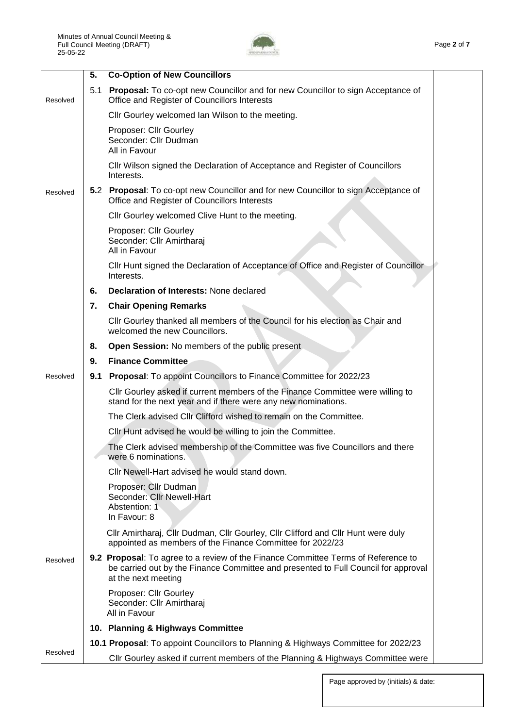

|          | 5.                                                                                                                                            | <b>Co-Option of New Councillors</b>                                                                                                                                                            |  |
|----------|-----------------------------------------------------------------------------------------------------------------------------------------------|------------------------------------------------------------------------------------------------------------------------------------------------------------------------------------------------|--|
| Resolved | 5.1<br><b>Proposal:</b> To co-opt new Councillor and for new Councillor to sign Acceptance of<br>Office and Register of Councillors Interests |                                                                                                                                                                                                |  |
|          |                                                                                                                                               | Cllr Gourley welcomed Ian Wilson to the meeting.                                                                                                                                               |  |
|          |                                                                                                                                               | Proposer: Cllr Gourley<br>Seconder: Cllr Dudman<br>All in Favour                                                                                                                               |  |
|          |                                                                                                                                               | CIIr Wilson signed the Declaration of Acceptance and Register of Councillors<br>Interests.                                                                                                     |  |
| Resolved |                                                                                                                                               | 5.2 Proposal: To co-opt new Councillor and for new Councillor to sign Acceptance of<br>Office and Register of Councillors Interests                                                            |  |
|          |                                                                                                                                               | Cllr Gourley welcomed Clive Hunt to the meeting.                                                                                                                                               |  |
|          |                                                                                                                                               | Proposer: Cllr Gourley<br>Seconder: Cllr Amirtharaj<br>All in Favour                                                                                                                           |  |
|          |                                                                                                                                               | Cllr Hunt signed the Declaration of Acceptance of Office and Register of Councillor<br>Interests.                                                                                              |  |
|          | 6.                                                                                                                                            | Declaration of Interests: None declared                                                                                                                                                        |  |
|          | 7.                                                                                                                                            | <b>Chair Opening Remarks</b>                                                                                                                                                                   |  |
|          |                                                                                                                                               | Cllr Gourley thanked all members of the Council for his election as Chair and<br>welcomed the new Councillors.                                                                                 |  |
|          | 8.                                                                                                                                            | Open Session: No members of the public present                                                                                                                                                 |  |
|          | 9.                                                                                                                                            | <b>Finance Committee</b>                                                                                                                                                                       |  |
| Resolved | 9.1                                                                                                                                           | <b>Proposal:</b> To appoint Councillors to Finance Committee for 2022/23                                                                                                                       |  |
|          |                                                                                                                                               | CIIr Gourley asked if current members of the Finance Committee were willing to<br>stand for the next year and if there were any new nominations.                                               |  |
|          |                                                                                                                                               | The Clerk advised Cllr Clifford wished to remain on the Committee.                                                                                                                             |  |
|          |                                                                                                                                               | Cllr Hunt advised he would be willing to join the Committee.                                                                                                                                   |  |
|          |                                                                                                                                               | The Clerk advised membership of the Committee was five Councillors and there<br>were 6 nominations.                                                                                            |  |
|          |                                                                                                                                               | Cllr Newell-Hart advised he would stand down.                                                                                                                                                  |  |
|          |                                                                                                                                               | Proposer: Cllr Dudman<br>Seconder: Cllr Newell-Hart<br>Abstention: 1<br>In Favour: 8                                                                                                           |  |
|          |                                                                                                                                               | CIIr Amirtharaj, CIIr Dudman, CIIr Gourley, CIIr Clifford and CIIr Hunt were duly<br>appointed as members of the Finance Committee for 2022/23                                                 |  |
| Resolved |                                                                                                                                               | 9.2 Proposal: To agree to a review of the Finance Committee Terms of Reference to<br>be carried out by the Finance Committee and presented to Full Council for approval<br>at the next meeting |  |
|          |                                                                                                                                               | Proposer: Cllr Gourley<br>Seconder: Cllr Amirtharaj<br>All in Favour                                                                                                                           |  |
|          |                                                                                                                                               | 10. Planning & Highways Committee                                                                                                                                                              |  |
|          |                                                                                                                                               | 10.1 Proposal: To appoint Councillors to Planning & Highways Committee for 2022/23                                                                                                             |  |
| Resolved |                                                                                                                                               | CIIr Gourley asked if current members of the Planning & Highways Committee were                                                                                                                |  |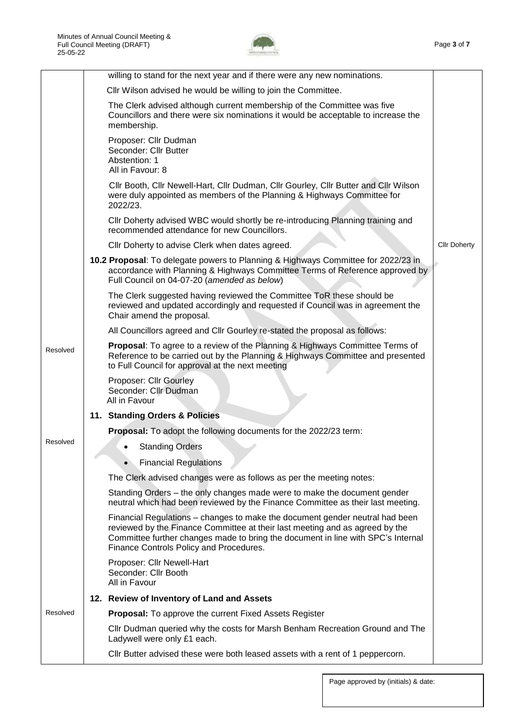

|          | willing to stand for the next year and if there were any new nominations.                                                                                                                                                                                                                   |                     |
|----------|---------------------------------------------------------------------------------------------------------------------------------------------------------------------------------------------------------------------------------------------------------------------------------------------|---------------------|
|          | CIIr Wilson advised he would be willing to join the Committee.                                                                                                                                                                                                                              |                     |
|          | The Clerk advised although current membership of the Committee was five<br>Councillors and there were six nominations it would be acceptable to increase the<br>membership.                                                                                                                 |                     |
|          | Proposer: Cllr Dudman<br>Seconder: Cllr Butter<br>Abstention: 1<br>All in Favour: 8                                                                                                                                                                                                         |                     |
|          | Cllr Booth, Cllr Newell-Hart, Cllr Dudman, Cllr Gourley, Cllr Butter and Cllr Wilson<br>were duly appointed as members of the Planning & Highways Committee for<br>2022/23.                                                                                                                 |                     |
|          | CIIr Doherty advised WBC would shortly be re-introducing Planning training and<br>recommended attendance for new Councillors.                                                                                                                                                               |                     |
|          | Cllr Doherty to advise Clerk when dates agreed.                                                                                                                                                                                                                                             | <b>Cllr Doherty</b> |
|          | 10.2 Proposal: To delegate powers to Planning & Highways Committee for 2022/23 in<br>accordance with Planning & Highways Committee Terms of Reference approved by<br>Full Council on 04-07-20 (amended as below)                                                                            |                     |
|          | The Clerk suggested having reviewed the Committee ToR these should be<br>reviewed and updated accordingly and requested if Council was in agreement the<br>Chair amend the proposal.                                                                                                        |                     |
|          | All Councillors agreed and Cllr Gourley re-stated the proposal as follows:                                                                                                                                                                                                                  |                     |
| Resolved | <b>Proposal:</b> To agree to a review of the Planning & Highways Committee Terms of<br>Reference to be carried out by the Planning & Highways Committee and presented<br>to Full Council for approval at the next meeting                                                                   |                     |
|          | Proposer: Cllr Gourley<br>Seconder: Cllr Dudman<br>All in Favour                                                                                                                                                                                                                            |                     |
|          | 11. Standing Orders & Policies                                                                                                                                                                                                                                                              |                     |
|          | Proposal: To adopt the following documents for the 2022/23 term:                                                                                                                                                                                                                            |                     |
| Resolved | <b>Standing Orders</b>                                                                                                                                                                                                                                                                      |                     |
|          | <b>Financial Regulations</b>                                                                                                                                                                                                                                                                |                     |
|          | The Clerk advised changes were as follows as per the meeting notes:                                                                                                                                                                                                                         |                     |
|          | Standing Orders – the only changes made were to make the document gender<br>neutral which had been reviewed by the Finance Committee as their last meeting.                                                                                                                                 |                     |
|          | Financial Regulations - changes to make the document gender neutral had been<br>reviewed by the Finance Committee at their last meeting and as agreed by the<br>Committee further changes made to bring the document in line with SPC's Internal<br>Finance Controls Policy and Procedures. |                     |
|          | Proposer: Cllr Newell-Hart<br>Seconder: Cllr Booth<br>All in Favour                                                                                                                                                                                                                         |                     |
|          | 12. Review of Inventory of Land and Assets                                                                                                                                                                                                                                                  |                     |
| Resolved | <b>Proposal:</b> To approve the current Fixed Assets Register                                                                                                                                                                                                                               |                     |
|          | Cllr Dudman queried why the costs for Marsh Benham Recreation Ground and The<br>Ladywell were only £1 each.                                                                                                                                                                                 |                     |
|          | Cllr Butter advised these were both leased assets with a rent of 1 peppercorn.                                                                                                                                                                                                              |                     |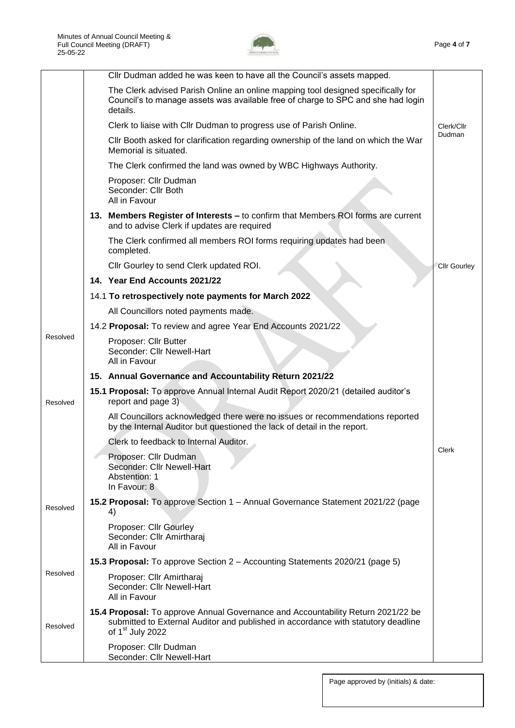

|          | Cllr Dudman added he was keen to have all the Council's assets mapped.                                                                                                                                |                     |
|----------|-------------------------------------------------------------------------------------------------------------------------------------------------------------------------------------------------------|---------------------|
|          | The Clerk advised Parish Online an online mapping tool designed specifically for<br>Council's to manage assets was available free of charge to SPC and she had login<br>details.                      |                     |
|          | Clerk to liaise with Cllr Dudman to progress use of Parish Online.                                                                                                                                    | Clerk/Cllr          |
|          | Cllr Booth asked for clarification regarding ownership of the land on which the War<br>Memorial is situated.                                                                                          | Dudman              |
|          | The Clerk confirmed the land was owned by WBC Highways Authority.                                                                                                                                     |                     |
|          | Proposer: Cllr Dudman<br>Seconder: Cllr Both<br>All in Favour                                                                                                                                         |                     |
|          | 13. Members Register of Interests - to confirm that Members ROI forms are current<br>and to advise Clerk if updates are required                                                                      |                     |
|          | The Clerk confirmed all members ROI forms requiring updates had been<br>completed.                                                                                                                    |                     |
|          | Cllr Gourley to send Clerk updated ROI.                                                                                                                                                               | <b>Cllr Gourley</b> |
|          | 14. Year End Accounts 2021/22                                                                                                                                                                         |                     |
|          | 14.1 To retrospectively note payments for March 2022                                                                                                                                                  |                     |
|          | All Councillors noted payments made.                                                                                                                                                                  |                     |
|          | 14.2 Proposal: To review and agree Year End Accounts 2021/22                                                                                                                                          |                     |
| Resolved | Proposer: Cllr Butter<br>Seconder: Cllr Newell-Hart<br>All in Favour                                                                                                                                  |                     |
|          | 15. Annual Governance and Accountability Return 2021/22                                                                                                                                               |                     |
| Resolved | 15.1 Proposal: To approve Annual Internal Audit Report 2020/21 (detailed auditor's<br>report and page 3)                                                                                              |                     |
|          | All Councillors acknowledged there were no issues or recommendations reported<br>by the Internal Auditor but questioned the lack of detail in the report.                                             |                     |
|          | Clerk to feedback to Internal Auditor.                                                                                                                                                                | Clerk               |
|          | Proposer: Cllr Dudman<br>Seconder: Cllr Newell-Hart<br>Abstention: 1<br>In Favour: 8                                                                                                                  |                     |
| Resolved | 15.2 Proposal: To approve Section 1 - Annual Governance Statement 2021/22 (page<br>4)                                                                                                                 |                     |
|          | Proposer: Cllr Gourley<br>Seconder: Cllr Amirtharaj<br>All in Favour                                                                                                                                  |                     |
|          | 15.3 Proposal: To approve Section 2 – Accounting Statements 2020/21 (page 5)                                                                                                                          |                     |
| Resolved | Proposer: Cllr Amirtharaj<br>Seconder: Cllr Newell-Hart<br>All in Favour                                                                                                                              |                     |
| Resolved | 15.4 Proposal: To approve Annual Governance and Accountability Return 2021/22 be<br>submitted to External Auditor and published in accordance with statutory deadline<br>of 1 <sup>st</sup> July 2022 |                     |
|          | Proposer: Cllr Dudman<br>Seconder: Cllr Newell-Hart                                                                                                                                                   |                     |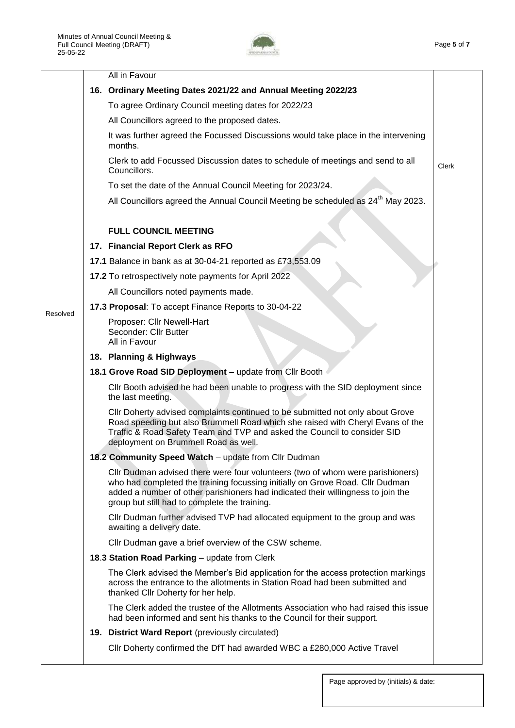

|          | All in Favour                                                                                                                                                                                                                                                                                        |       |
|----------|------------------------------------------------------------------------------------------------------------------------------------------------------------------------------------------------------------------------------------------------------------------------------------------------------|-------|
|          | 16. Ordinary Meeting Dates 2021/22 and Annual Meeting 2022/23                                                                                                                                                                                                                                        |       |
|          | To agree Ordinary Council meeting dates for 2022/23                                                                                                                                                                                                                                                  |       |
|          | All Councillors agreed to the proposed dates.                                                                                                                                                                                                                                                        |       |
|          | It was further agreed the Focussed Discussions would take place in the intervening<br>months.                                                                                                                                                                                                        |       |
|          | Clerk to add Focussed Discussion dates to schedule of meetings and send to all<br>Councillors.                                                                                                                                                                                                       | Clerk |
|          | To set the date of the Annual Council Meeting for 2023/24.                                                                                                                                                                                                                                           |       |
|          | All Councillors agreed the Annual Council Meeting be scheduled as 24 <sup>th</sup> May 2023.                                                                                                                                                                                                         |       |
|          | <b>FULL COUNCIL MEETING</b>                                                                                                                                                                                                                                                                          |       |
|          | 17. Financial Report Clerk as RFO                                                                                                                                                                                                                                                                    |       |
|          | 17.1 Balance in bank as at 30-04-21 reported as £73,553.09                                                                                                                                                                                                                                           |       |
|          | 17.2 To retrospectively note payments for April 2022                                                                                                                                                                                                                                                 |       |
|          | All Councillors noted payments made.                                                                                                                                                                                                                                                                 |       |
|          | 17.3 Proposal: To accept Finance Reports to 30-04-22                                                                                                                                                                                                                                                 |       |
| Resolved | Proposer: Cllr Newell-Hart<br>Seconder: Cllr Butter<br>All in Favour                                                                                                                                                                                                                                 |       |
|          | 18. Planning & Highways                                                                                                                                                                                                                                                                              |       |
|          | 18.1 Grove Road SID Deployment - update from Cllr Booth                                                                                                                                                                                                                                              |       |
|          | Cllr Booth advised he had been unable to progress with the SID deployment since<br>the last meeting.                                                                                                                                                                                                 |       |
|          | CIIr Doherty advised complaints continued to be submitted not only about Grove<br>Road speeding but also Brummell Road which she raised with Cheryl Evans of the<br>Traffic & Road Safety Team and TVP and asked the Council to consider SID<br>deployment on Brummell Road as well.                 |       |
|          | 18.2 Community Speed Watch - update from Cllr Dudman                                                                                                                                                                                                                                                 |       |
|          | Cllr Dudman advised there were four volunteers (two of whom were parishioners)<br>who had completed the training focussing initially on Grove Road. Cllr Dudman<br>added a number of other parishioners had indicated their willingness to join the<br>group but still had to complete the training. |       |
|          | Cllr Dudman further advised TVP had allocated equipment to the group and was<br>awaiting a delivery date.                                                                                                                                                                                            |       |
|          | Cllr Dudman gave a brief overview of the CSW scheme.                                                                                                                                                                                                                                                 |       |
|          | 18.3 Station Road Parking - update from Clerk                                                                                                                                                                                                                                                        |       |
|          | The Clerk advised the Member's Bid application for the access protection markings<br>across the entrance to the allotments in Station Road had been submitted and<br>thanked Cllr Doherty for her help.                                                                                              |       |
|          | The Clerk added the trustee of the Allotments Association who had raised this issue<br>had been informed and sent his thanks to the Council for their support.                                                                                                                                       |       |
|          | 19. District Ward Report (previously circulated)                                                                                                                                                                                                                                                     |       |
|          | Cllr Doherty confirmed the DfT had awarded WBC a £280,000 Active Travel                                                                                                                                                                                                                              |       |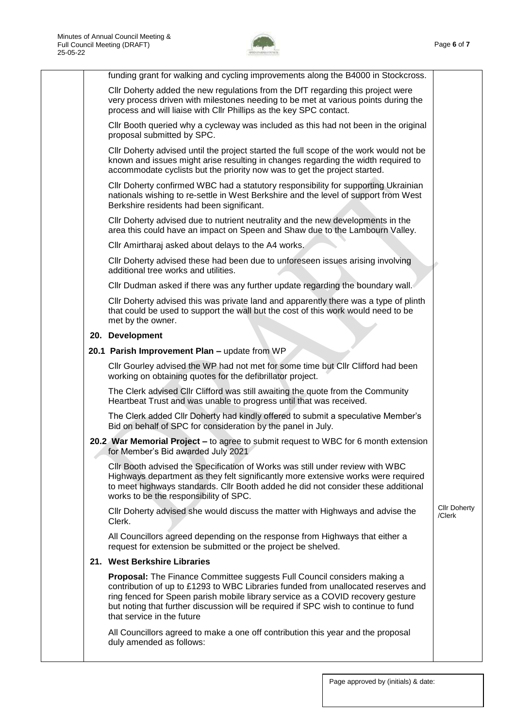

| funding grant for walking and cycling improvements along the B4000 in Stockcross.                                                                                                                                                                                                                                                                                     |                               |
|-----------------------------------------------------------------------------------------------------------------------------------------------------------------------------------------------------------------------------------------------------------------------------------------------------------------------------------------------------------------------|-------------------------------|
| CIIr Doherty added the new regulations from the DfT regarding this project were<br>very process driven with milestones needing to be met at various points during the<br>process and will liaise with Cllr Phillips as the key SPC contact.                                                                                                                           |                               |
| CIIr Booth queried why a cycleway was included as this had not been in the original<br>proposal submitted by SPC.                                                                                                                                                                                                                                                     |                               |
| CIIr Doherty advised until the project started the full scope of the work would not be<br>known and issues might arise resulting in changes regarding the width required to<br>accommodate cyclists but the priority now was to get the project started.                                                                                                              |                               |
| Cllr Doherty confirmed WBC had a statutory responsibility for supporting Ukrainian<br>nationals wishing to re-settle in West Berkshire and the level of support from West<br>Berkshire residents had been significant.                                                                                                                                                |                               |
| CIIr Doherty advised due to nutrient neutrality and the new developments in the<br>area this could have an impact on Speen and Shaw due to the Lambourn Valley.                                                                                                                                                                                                       |                               |
| Cllr Amirtharaj asked about delays to the A4 works.                                                                                                                                                                                                                                                                                                                   |                               |
| CIIr Doherty advised these had been due to unforeseen issues arising involving<br>additional tree works and utilities.                                                                                                                                                                                                                                                |                               |
| Cllr Dudman asked if there was any further update regarding the boundary wall.                                                                                                                                                                                                                                                                                        |                               |
| CIIr Doherty advised this was private land and apparently there was a type of plinth<br>that could be used to support the wall but the cost of this work would need to be<br>met by the owner.                                                                                                                                                                        |                               |
| 20. Development                                                                                                                                                                                                                                                                                                                                                       |                               |
| 20.1 Parish Improvement Plan - update from WP                                                                                                                                                                                                                                                                                                                         |                               |
| Cllr Gourley advised the WP had not met for some time but Cllr Clifford had been<br>working on obtaining quotes for the defibrillator project.                                                                                                                                                                                                                        |                               |
| The Clerk advised Cllr Clifford was still awaiting the quote from the Community<br>Heartbeat Trust and was unable to progress until that was received.                                                                                                                                                                                                                |                               |
| The Clerk added Cllr Doherty had kindly offered to submit a speculative Member's<br>Bid on behalf of SPC for consideration by the panel in July.                                                                                                                                                                                                                      |                               |
| 20.2 War Memorial Project – to agree to submit request to WBC for 6 month extension<br>for Member's Bid awarded July 2021                                                                                                                                                                                                                                             |                               |
| Cllr Booth advised the Specification of Works was still under review with WBC<br>Highways department as they felt significantly more extensive works were required<br>to meet highways standards. Cllr Booth added he did not consider these additional<br>works to be the responsibility of SPC.                                                                     |                               |
| CIIr Doherty advised she would discuss the matter with Highways and advise the<br>Clerk.                                                                                                                                                                                                                                                                              | <b>Cllr Doherty</b><br>/Clerk |
| All Councillors agreed depending on the response from Highways that either a<br>request for extension be submitted or the project be shelved.                                                                                                                                                                                                                         |                               |
| 21. West Berkshire Libraries                                                                                                                                                                                                                                                                                                                                          |                               |
| Proposal: The Finance Committee suggests Full Council considers making a<br>contribution of up to £1293 to WBC Libraries funded from unallocated reserves and<br>ring fenced for Speen parish mobile library service as a COVID recovery gesture<br>but noting that further discussion will be required if SPC wish to continue to fund<br>that service in the future |                               |
| All Councillors agreed to make a one off contribution this year and the proposal<br>duly amended as follows:                                                                                                                                                                                                                                                          |                               |
|                                                                                                                                                                                                                                                                                                                                                                       |                               |